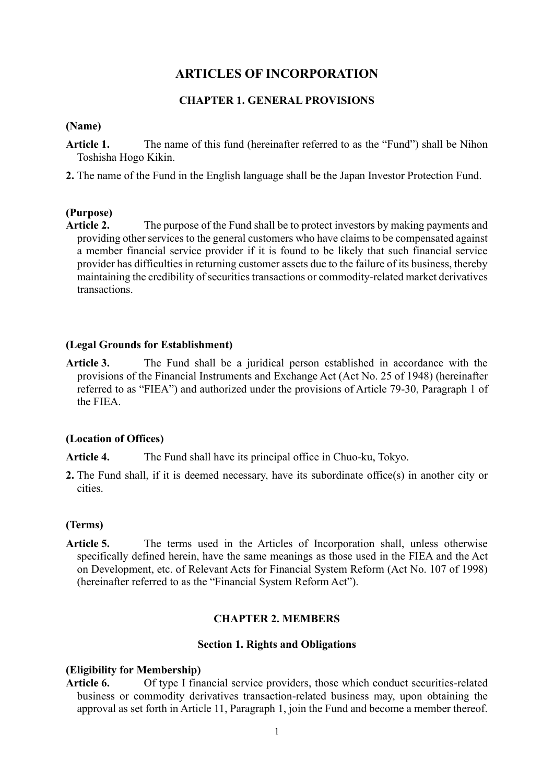# **ARTICLES OF INCORPORATION**

## **CHAPTER 1. GENERAL PROVISIONS**

#### **(Name)**

- **Article 1.** The name of this fund (hereinafter referred to as the "Fund") shall be Nihon Toshisha Hogo Kikin.
- **2.** The name of the Fund in the English language shall be the Japan Investor Protection Fund.

## **(Purpose)**

**Article 2.** The purpose of the Fund shall be to protect investors by making payments and providing other services to the general customers who have claims to be compensated against a member financial service provider if it is found to be likely that such financial service provider has difficulties in returning customer assets due to the failure of its business, thereby maintaining the credibility of securities transactions or commodity-related market derivatives transactions.

## **(Legal Grounds for Establishment)**

**Article 3.** The Fund shall be a juridical person established in accordance with the provisions of the Financial Instruments and Exchange Act (Act No. 25 of 1948) (hereinafter referred to as "FIEA") and authorized under the provisions of Article 79-30, Paragraph 1 of the FIEA.

## **(Location of Offices)**

**Article 4.** The Fund shall have its principal office in Chuo-ku, Tokyo.

**2.** The Fund shall, if it is deemed necessary, have its subordinate office(s) in another city or cities.

## **(Terms)**

**Article 5.** The terms used in the Articles of Incorporation shall, unless otherwise specifically defined herein, have the same meanings as those used in the FIEA and the Act on Development, etc. of Relevant Acts for Financial System Reform (Act No. 107 of 1998) (hereinafter referred to as the "Financial System Reform Act").

## **CHAPTER 2. MEMBERS**

#### **Section 1. Rights and Obligations**

#### **(Eligibility for Membership)**

**Article 6.** Of type I financial service providers, those which conduct securities-related business or commodity derivatives transaction-related business may, upon obtaining the approval as set forth in Article 11, Paragraph 1, join the Fund and become a member thereof.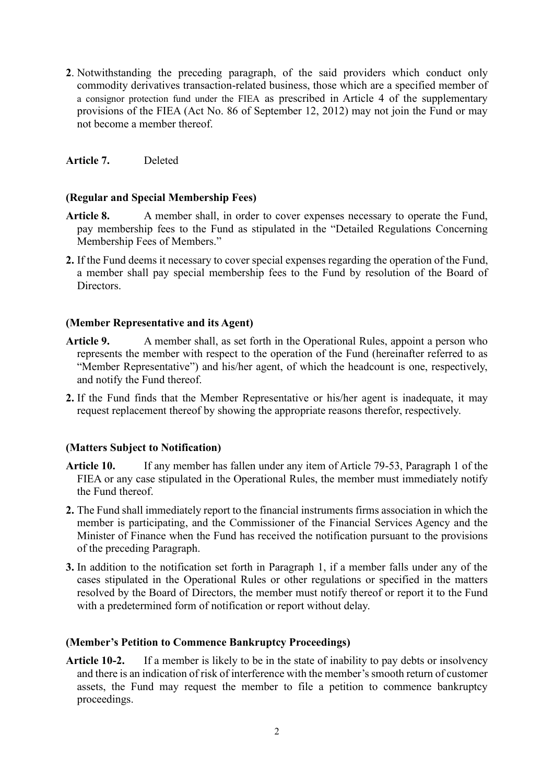**2**. Notwithstanding the preceding paragraph, of the said providers which conduct only commodity derivatives transaction-related business, those which are a specified member of a consignor protection fund under the FIEA as prescribed in Article 4 of the supplementary provisions of the FIEA (Act No. 86 of September 12, 2012) may not join the Fund or may not become a member thereof.

**Article 7.** Deleted

## **(Regular and Special Membership Fees)**

- **Article 8.** A member shall, in order to cover expenses necessary to operate the Fund, pay membership fees to the Fund as stipulated in the "Detailed Regulations Concerning Membership Fees of Members."
- **2.** If the Fund deems it necessary to cover special expenses regarding the operation of the Fund, a member shall pay special membership fees to the Fund by resolution of the Board of Directors.

## **(Member Representative and its Agent)**

- Article 9. A member shall, as set forth in the Operational Rules, appoint a person who represents the member with respect to the operation of the Fund (hereinafter referred to as "Member Representative") and his/her agent, of which the headcount is one, respectively, and notify the Fund thereof.
- **2.** If the Fund finds that the Member Representative or his/her agent is inadequate, it may request replacement thereof by showing the appropriate reasons therefor, respectively.

# **(Matters Subject to Notification)**

- **Article 10.** If any member has fallen under any item of Article 79-53, Paragraph 1 of the FIEA or any case stipulated in the Operational Rules, the member must immediately notify the Fund thereof.
- **2.** The Fund shall immediately report to the financial instruments firms association in which the member is participating, and the Commissioner of the Financial Services Agency and the Minister of Finance when the Fund has received the notification pursuant to the provisions of the preceding Paragraph.
- **3.** In addition to the notification set forth in Paragraph 1, if a member falls under any of the cases stipulated in the Operational Rules or other regulations or specified in the matters resolved by the Board of Directors, the member must notify thereof or report it to the Fund with a predetermined form of notification or report without delay.

## **(Member's Petition to Commence Bankruptcy Proceedings)**

**Article 10-2.** If a member is likely to be in the state of inability to pay debts or insolvency and there is an indication of risk of interference with the member's smooth return of customer assets, the Fund may request the member to file a petition to commence bankruptcy proceedings.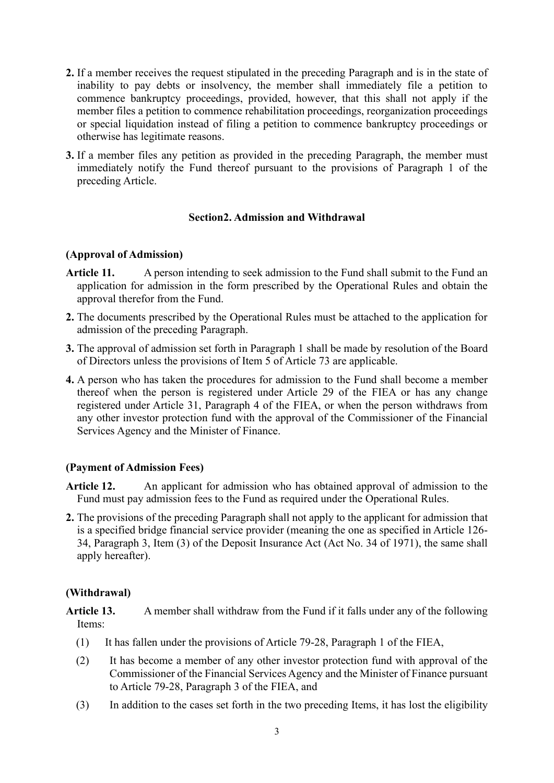- **2.** If a member receives the request stipulated in the preceding Paragraph and is in the state of inability to pay debts or insolvency, the member shall immediately file a petition to commence bankruptcy proceedings, provided, however, that this shall not apply if the member files a petition to commence rehabilitation proceedings, reorganization proceedings or special liquidation instead of filing a petition to commence bankruptcy proceedings or otherwise has legitimate reasons.
- **3.** If a member files any petition as provided in the preceding Paragraph, the member must immediately notify the Fund thereof pursuant to the provisions of Paragraph 1 of the preceding Article.

## **Section2. Admission and Withdrawal**

## **(Approval of Admission)**

- **Article 11.** A person intending to seek admission to the Fund shall submit to the Fund an application for admission in the form prescribed by the Operational Rules and obtain the approval therefor from the Fund.
- **2.** The documents prescribed by the Operational Rules must be attached to the application for admission of the preceding Paragraph.
- **3.** The approval of admission set forth in Paragraph 1 shall be made by resolution of the Board of Directors unless the provisions of Item 5 of Article 73 are applicable.
- **4.** A person who has taken the procedures for admission to the Fund shall become a member thereof when the person is registered under Article 29 of the FIEA or has any change registered under Article 31, Paragraph 4 of the FIEA, or when the person withdraws from any other investor protection fund with the approval of the Commissioner of the Financial Services Agency and the Minister of Finance.

# **(Payment of Admission Fees)**

- **Article 12.** An applicant for admission who has obtained approval of admission to the Fund must pay admission fees to the Fund as required under the Operational Rules.
- **2.** The provisions of the preceding Paragraph shall not apply to the applicant for admission that is a specified bridge financial service provider (meaning the one as specified in Article 126- 34, Paragraph 3, Item (3) of the Deposit Insurance Act (Act No. 34 of 1971), the same shall apply hereafter).

## **(Withdrawal)**

**Article 13.** A member shall withdraw from the Fund if it falls under any of the following Items:

- (1) It has fallen under the provisions of Article 79-28, Paragraph 1 of the FIEA,
- (2) It has become a member of any other investor protection fund with approval of the Commissioner of the Financial Services Agency and the Minister of Finance pursuant to Article 79-28, Paragraph 3 of the FIEA, and
- (3) In addition to the cases set forth in the two preceding Items, it has lost the eligibility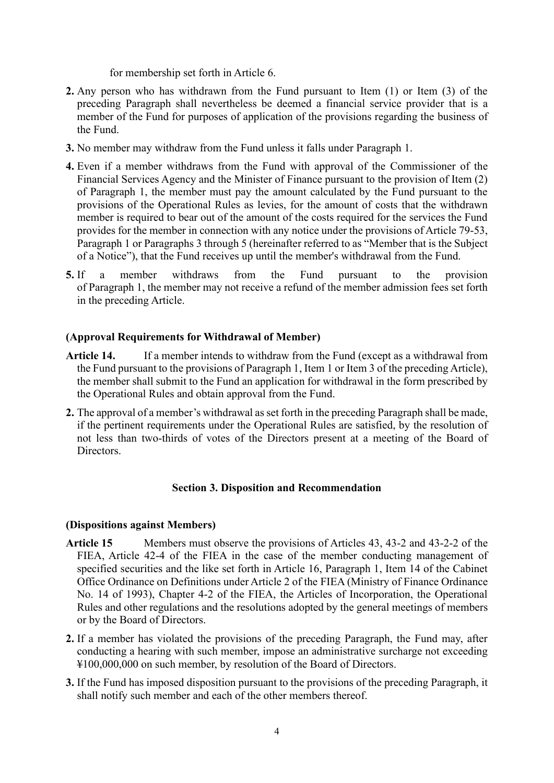for membership set forth in Article 6.

- **2.** Any person who has withdrawn from the Fund pursuant to Item (1) or Item (3) of the preceding Paragraph shall nevertheless be deemed a financial service provider that is a member of the Fund for purposes of application of the provisions regarding the business of the Fund.
- **3.** No member may withdraw from the Fund unless it falls under Paragraph 1.
- **4.** Even if a member withdraws from the Fund with approval of the Commissioner of the Financial Services Agency and the Minister of Finance pursuant to the provision of Item (2) of Paragraph 1, the member must pay the amount calculated by the Fund pursuant to the provisions of the Operational Rules as levies, for the amount of costs that the withdrawn member is required to bear out of the amount of the costs required for the services the Fund provides for the member in connection with any notice under the provisions of Article 79-53, Paragraph 1 or Paragraphs 3 through 5 (hereinafter referred to as "Member that is the Subject of a Notice"), that the Fund receives up until the member's withdrawal from the Fund.
- **5.** If a member withdraws from the Fund pursuant to the provision of Paragraph 1, the member may not receive a refund of the member admission fees set forth in the preceding Article.

## **(Approval Requirements for Withdrawal of Member)**

- **Article 14.** If a member intends to withdraw from the Fund (except as a withdrawal from the Fund pursuant to the provisions of Paragraph 1, Item 1 or Item 3 of the preceding Article), the member shall submit to the Fund an application for withdrawal in the form prescribed by the Operational Rules and obtain approval from the Fund.
- **2.** The approval of a member's withdrawal as set forth in the preceding Paragraph shall be made, if the pertinent requirements under the Operational Rules are satisfied, by the resolution of not less than two-thirds of votes of the Directors present at a meeting of the Board of Directors.

## **Section 3. Disposition and Recommendation**

## **(Dispositions against Members)**

- **Article 15** Members must observe the provisions of Articles 43, 43-2 and 43-2-2 of the FIEA, Article 42-4 of the FIEA in the case of the member conducting management of specified securities and the like set forth in Article 16, Paragraph 1, Item 14 of the Cabinet Office Ordinance on Definitions under Article 2 of the FIEA (Ministry of Finance Ordinance No. 14 of 1993), Chapter 4-2 of the FIEA, the Articles of Incorporation, the Operational Rules and other regulations and the resolutions adopted by the general meetings of members or by the Board of Directors.
- **2.** If a member has violated the provisions of the preceding Paragraph, the Fund may, after conducting a hearing with such member, impose an administrative surcharge not exceeding ¥100,000,000 on such member, by resolution of the Board of Directors.
- **3.** If the Fund has imposed disposition pursuant to the provisions of the preceding Paragraph, it shall notify such member and each of the other members thereof.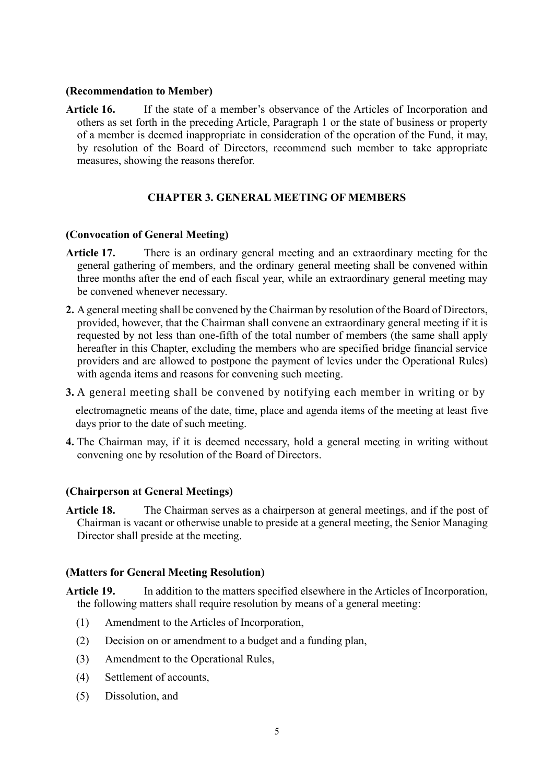#### **(Recommendation to Member)**

**Article 16.** If the state of a member's observance of the Articles of Incorporation and others as set forth in the preceding Article, Paragraph 1 or the state of business or property of a member is deemed inappropriate in consideration of the operation of the Fund, it may, by resolution of the Board of Directors, recommend such member to take appropriate measures, showing the reasons therefor.

# **CHAPTER 3. GENERAL MEETING OF MEMBERS**

## **(Convocation of General Meeting)**

- **Article 17.** There is an ordinary general meeting and an extraordinary meeting for the general gathering of members, and the ordinary general meeting shall be convened within three months after the end of each fiscal year, while an extraordinary general meeting may be convened whenever necessary.
- **2.** A general meeting shall be convened by the Chairman by resolution of the Board of Directors, provided, however, that the Chairman shall convene an extraordinary general meeting if it is requested by not less than one-fifth of the total number of members (the same shall apply hereafter in this Chapter, excluding the members who are specified bridge financial service providers and are allowed to postpone the payment of levies under the Operational Rules) with agenda items and reasons for convening such meeting.
- **3.** A general meeting shall be convened by notifying each member in writing or by

electromagnetic means of the date, time, place and agenda items of the meeting at least five days prior to the date of such meeting.

**4.** The Chairman may, if it is deemed necessary, hold a general meeting in writing without convening one by resolution of the Board of Directors.

## **(Chairperson at General Meetings)**

**Article 18.** The Chairman serves as a chairperson at general meetings, and if the post of Chairman is vacant or otherwise unable to preside at a general meeting, the Senior Managing Director shall preside at the meeting.

## **(Matters for General Meeting Resolution)**

**Article 19.** In addition to the matters specified elsewhere in the Articles of Incorporation, the following matters shall require resolution by means of a general meeting:

- (1) Amendment to the Articles of Incorporation,
- (2) Decision on or amendment to a budget and a funding plan,
- (3) Amendment to the Operational Rules,
- (4) Settlement of accounts,
- (5) Dissolution, and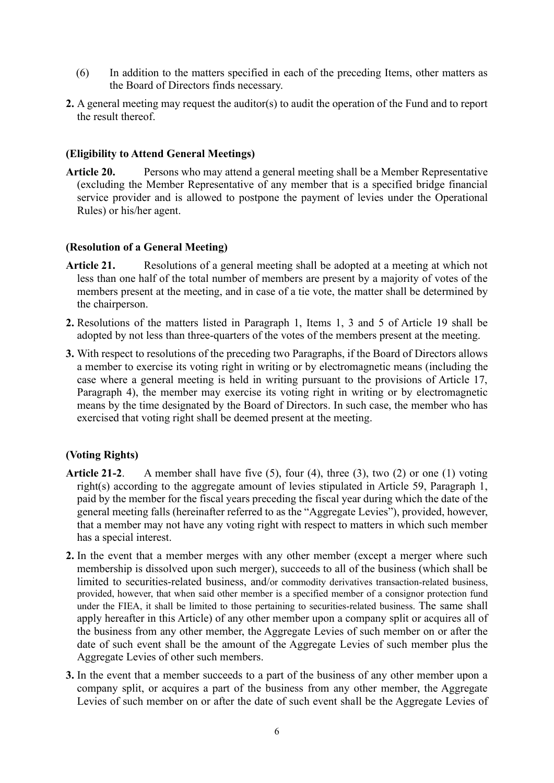- (6) In addition to the matters specified in each of the preceding Items, other matters as the Board of Directors finds necessary.
- **2.** A general meeting may request the auditor(s) to audit the operation of the Fund and to report the result thereof.

# **(Eligibility to Attend General Meetings)**

**Article 20.** Persons who may attend a general meeting shall be a Member Representative (excluding the Member Representative of any member that is a specified bridge financial service provider and is allowed to postpone the payment of levies under the Operational Rules) or his/her agent.

# **(Resolution of a General Meeting)**

- **Article 21.** Resolutions of a general meeting shall be adopted at a meeting at which not less than one half of the total number of members are present by a majority of votes of the members present at the meeting, and in case of a tie vote, the matter shall be determined by the chairperson.
- **2.** Resolutions of the matters listed in Paragraph 1, Items 1, 3 and 5 of Article 19 shall be adopted by not less than three-quarters of the votes of the members present at the meeting.
- **3.** With respect to resolutions of the preceding two Paragraphs, if the Board of Directors allows a member to exercise its voting right in writing or by electromagnetic means (including the case where a general meeting is held in writing pursuant to the provisions of Article 17, Paragraph 4), the member may exercise its voting right in writing or by electromagnetic means by the time designated by the Board of Directors. In such case, the member who has exercised that voting right shall be deemed present at the meeting.

# **(Voting Rights)**

- **Article 21-2**. A member shall have five (5), four (4), three (3), two (2) or one (1) voting right(s) according to the aggregate amount of levies stipulated in Article 59, Paragraph 1, paid by the member for the fiscal years preceding the fiscal year during which the date of the general meeting falls (hereinafter referred to as the "Aggregate Levies"), provided, however, that a member may not have any voting right with respect to matters in which such member has a special interest.
- **2.** In the event that a member merges with any other member (except a merger where such membership is dissolved upon such merger), succeeds to all of the business (which shall be limited to securities-related business, and/or commodity derivatives transaction-related business, provided, however, that when said other member is a specified member of a consignor protection fund under the FIEA, it shall be limited to those pertaining to securities-related business. The same shall apply hereafter in this Article) of any other member upon a company split or acquires all of the business from any other member, the Aggregate Levies of such member on or after the date of such event shall be the amount of the Aggregate Levies of such member plus the Aggregate Levies of other such members.
- **3.** In the event that a member succeeds to a part of the business of any other member upon a company split, or acquires a part of the business from any other member, the Aggregate Levies of such member on or after the date of such event shall be the Aggregate Levies of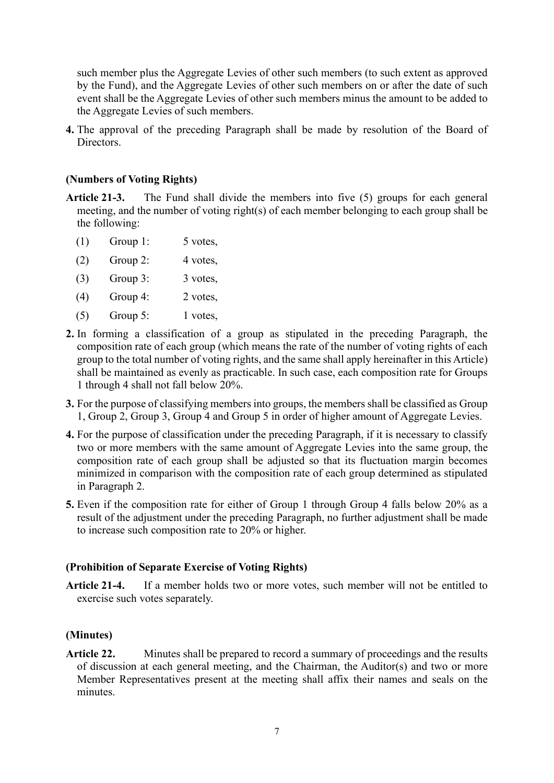such member plus the Aggregate Levies of other such members (to such extent as approved by the Fund), and the Aggregate Levies of other such members on or after the date of such event shall be the Aggregate Levies of other such members minus the amount to be added to the Aggregate Levies of such members.

**4.** The approval of the preceding Paragraph shall be made by resolution of the Board of **Directors** 

#### **(Numbers of Voting Rights)**

- **Article 21-3.** The Fund shall divide the members into five (5) groups for each general meeting, and the number of voting right(s) of each member belonging to each group shall be the following:
	- (1) Group 1: 5 votes,
	- $(2)$  Group 2: 4 votes,
	- (3) Group 3: 3 votes,
	- (4) Group 4: 2 votes,
	- $(5)$  Group 5: 1 votes,
- **2.** In forming a classification of a group as stipulated in the preceding Paragraph, the composition rate of each group (which means the rate of the number of voting rights of each group to the total number of voting rights, and the same shall apply hereinafter in this Article) shall be maintained as evenly as practicable. In such case, each composition rate for Groups 1 through 4 shall not fall below 20%.
- **3.** For the purpose of classifying members into groups, the members shall be classified as Group 1, Group 2, Group 3, Group 4 and Group 5 in order of higher amount of Aggregate Levies.
- **4.** For the purpose of classification under the preceding Paragraph, if it is necessary to classify two or more members with the same amount of Aggregate Levies into the same group, the composition rate of each group shall be adjusted so that its fluctuation margin becomes minimized in comparison with the composition rate of each group determined as stipulated in Paragraph 2.
- **5.** Even if the composition rate for either of Group 1 through Group 4 falls below 20% as a result of the adjustment under the preceding Paragraph, no further adjustment shall be made to increase such composition rate to 20% or higher.

#### **(Prohibition of Separate Exercise of Voting Rights)**

**Article 21-4.** If a member holds two or more votes, such member will not be entitled to exercise such votes separately.

#### **(Minutes)**

**Article 22.** Minutes shall be prepared to record a summary of proceedings and the results of discussion at each general meeting, and the Chairman, the Auditor(s) and two or more Member Representatives present at the meeting shall affix their names and seals on the minutes.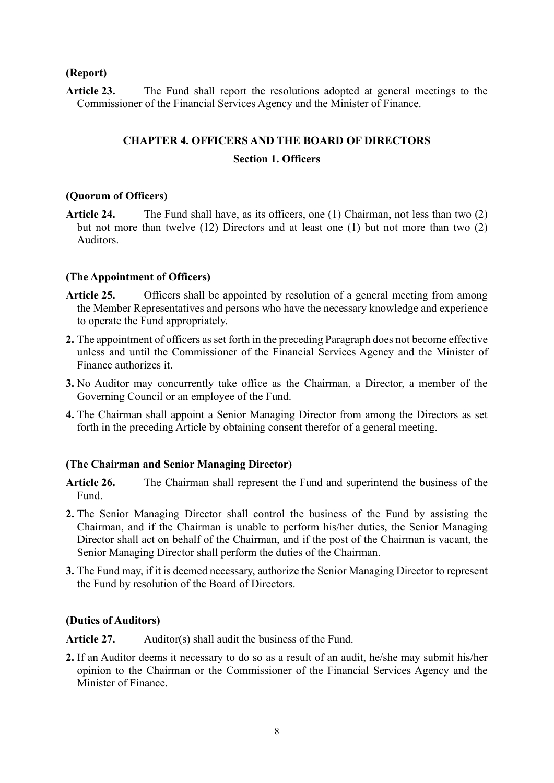## **(Report)**

Article 23. The Fund shall report the resolutions adopted at general meetings to the Commissioner of the Financial Services Agency and the Minister of Finance.

## **CHAPTER 4. OFFICERS AND THE BOARD OF DIRECTORS**

## **Section 1. Officers**

## **(Quorum of Officers)**

**Article 24.** The Fund shall have, as its officers, one (1) Chairman, not less than two (2) but not more than twelve (12) Directors and at least one (1) but not more than two (2) Auditors.

## **(The Appointment of Officers)**

- Article 25. Officers shall be appointed by resolution of a general meeting from among the Member Representatives and persons who have the necessary knowledge and experience to operate the Fund appropriately.
- **2.** The appointment of officers as set forth in the preceding Paragraph does not become effective unless and until the Commissioner of the Financial Services Agency and the Minister of Finance authorizes it.
- **3.** No Auditor may concurrently take office as the Chairman, a Director, a member of the Governing Council or an employee of the Fund.
- **4.** The Chairman shall appoint a Senior Managing Director from among the Directors as set forth in the preceding Article by obtaining consent therefor of a general meeting.

## **(The Chairman and Senior Managing Director)**

- **Article 26.** The Chairman shall represent the Fund and superintend the business of the Fund.
- **2.** The Senior Managing Director shall control the business of the Fund by assisting the Chairman, and if the Chairman is unable to perform his/her duties, the Senior Managing Director shall act on behalf of the Chairman, and if the post of the Chairman is vacant, the Senior Managing Director shall perform the duties of the Chairman.
- **3.** The Fund may, if it is deemed necessary, authorize the Senior Managing Director to represent the Fund by resolution of the Board of Directors.

## **(Duties of Auditors)**

Article 27. Auditor(s) shall audit the business of the Fund.

**2.** If an Auditor deems it necessary to do so as a result of an audit, he/she may submit his/her opinion to the Chairman or the Commissioner of the Financial Services Agency and the Minister of Finance.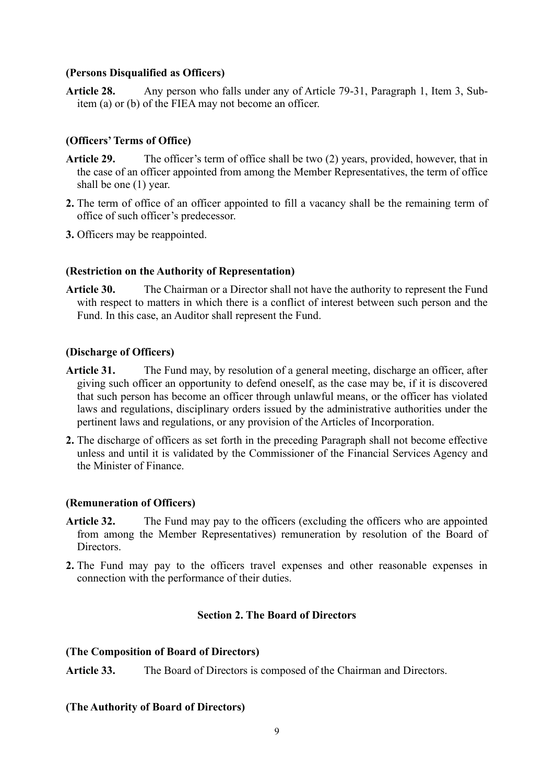## **(Persons Disqualified as Officers)**

**Article 28.** Any person who falls under any of Article 79-31, Paragraph 1, Item 3, Subitem (a) or (b) of the FIEA may not become an officer.

# **(Officers' Terms of Office)**

- **Article 29.** The officer's term of office shall be two (2) years, provided, however, that in the case of an officer appointed from among the Member Representatives, the term of office shall be one (1) year.
- **2.** The term of office of an officer appointed to fill a vacancy shall be the remaining term of office of such officer's predecessor.
- **3.** Officers may be reappointed.

## **(Restriction on the Authority of Representation)**

**Article 30.** The Chairman or a Director shall not have the authority to represent the Fund with respect to matters in which there is a conflict of interest between such person and the Fund. In this case, an Auditor shall represent the Fund.

## **(Discharge of Officers)**

- Article 31. The Fund may, by resolution of a general meeting, discharge an officer, after giving such officer an opportunity to defend oneself, as the case may be, if it is discovered that such person has become an officer through unlawful means, or the officer has violated laws and regulations, disciplinary orders issued by the administrative authorities under the pertinent laws and regulations, or any provision of the Articles of Incorporation.
- **2.** The discharge of officers as set forth in the preceding Paragraph shall not become effective unless and until it is validated by the Commissioner of the Financial Services Agency and the Minister of Finance.

# **(Remuneration of Officers)**

- **Article 32.** The Fund may pay to the officers (excluding the officers who are appointed from among the Member Representatives) remuneration by resolution of the Board of Directors.
- **2.** The Fund may pay to the officers travel expenses and other reasonable expenses in connection with the performance of their duties.

# **Section 2. The Board of Directors**

## **(The Composition of Board of Directors)**

**Article 33.** The Board of Directors is composed of the Chairman and Directors.

# **(The Authority of Board of Directors)**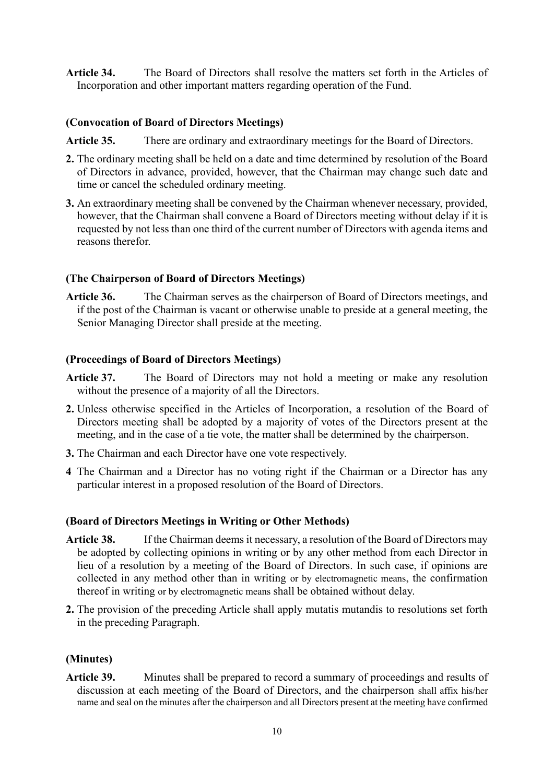**Article 34.** The Board of Directors shall resolve the matters set forth in the Articles of Incorporation and other important matters regarding operation of the Fund.

## **(Convocation of Board of Directors Meetings)**

Article 35. There are ordinary and extraordinary meetings for the Board of Directors.

- **2.** The ordinary meeting shall be held on a date and time determined by resolution of the Board of Directors in advance, provided, however, that the Chairman may change such date and time or cancel the scheduled ordinary meeting.
- **3.** An extraordinary meeting shall be convened by the Chairman whenever necessary, provided, however, that the Chairman shall convene a Board of Directors meeting without delay if it is requested by not less than one third of the current number of Directors with agenda items and reasons therefor.

## **(The Chairperson of Board of Directors Meetings)**

**Article 36.** The Chairman serves as the chairperson of Board of Directors meetings, and if the post of the Chairman is vacant or otherwise unable to preside at a general meeting, the Senior Managing Director shall preside at the meeting.

## **(Proceedings of Board of Directors Meetings)**

- **Article 37.** The Board of Directors may not hold a meeting or make any resolution without the presence of a majority of all the Directors.
- **2.** Unless otherwise specified in the Articles of Incorporation, a resolution of the Board of Directors meeting shall be adopted by a majority of votes of the Directors present at the meeting, and in the case of a tie vote, the matter shall be determined by the chairperson.
- **3.** The Chairman and each Director have one vote respectively.
- **4** The Chairman and a Director has no voting right if the Chairman or a Director has any particular interest in a proposed resolution of the Board of Directors.

## **(Board of Directors Meetings in Writing or Other Methods)**

- **Article 38.** If the Chairman deems it necessary, a resolution of the Board of Directors may be adopted by collecting opinions in writing or by any other method from each Director in lieu of a resolution by a meeting of the Board of Directors. In such case, if opinions are collected in any method other than in writing or by electromagnetic means, the confirmation thereof in writing or by electromagnetic means shall be obtained without delay.
- **2.** The provision of the preceding Article shall apply mutatis mutandis to resolutions set forth in the preceding Paragraph.

## **(Minutes)**

**Article 39.** Minutes shall be prepared to record a summary of proceedings and results of discussion at each meeting of the Board of Directors, and the chairperson shall affix his/her name and seal on the minutes after the chairperson and all Directors present at the meeting have confirmed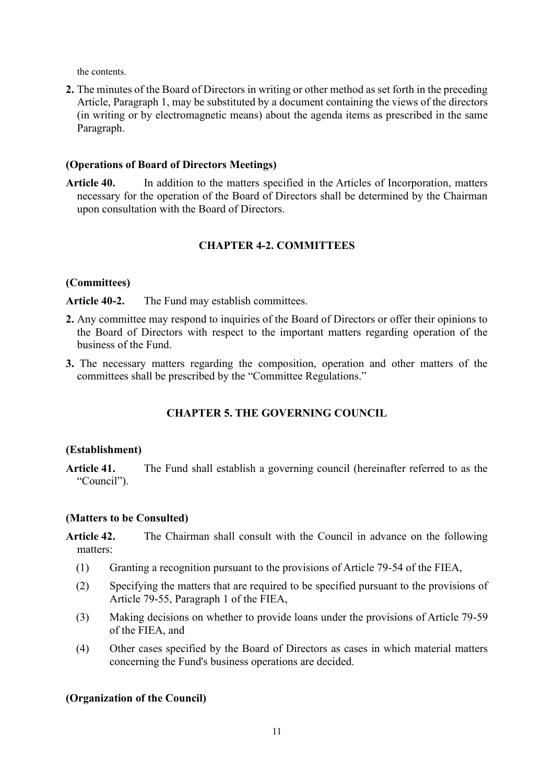the contents.

**2.** The minutes of the Board of Directors in writing or other method as set forth in the preceding Article, Paragraph 1, may be substituted by a document containing the views of the directors (in writing or by electromagnetic means) about the agenda items as prescribed in the same Paragraph.

#### **(Operations of Board of Directors Meetings)**

**Article 40.** In addition to the matters specified in the Articles of Incorporation, matters necessary for the operation of the Board of Directors shall be determined by the Chairman upon consultation with the Board of Directors.

## **CHAPTER 4-2. COMMITTEES**

#### **(Committees)**

Article 40-2. The Fund may establish committees.

- **2.** Any committee may respond to inquiries of the Board of Directors or offer their opinions to the Board of Directors with respect to the important matters regarding operation of the business of the Fund.
- **3.** The necessary matters regarding the composition, operation and other matters of the committees shall be prescribed by the "Committee Regulations."

# **CHAPTER 5. THE GOVERNING COUNCIL**

#### **(Establishment)**

**Article 41.** The Fund shall establish a governing council (hereinafter referred to as the "Council").

## **(Matters to be Consulted)**

- **Article 42.** The Chairman shall consult with the Council in advance on the following matters:
	- (1) Granting a recognition pursuant to the provisions of Article 79-54 of the FIEA,
	- (2) Specifying the matters that are required to be specified pursuant to the provisions of Article 79-55, Paragraph 1 of the FIEA,
	- (3) Making decisions on whether to provide loans under the provisions of Article 79-59 of the FIEA, and
	- (4) Other cases specified by the Board of Directors as cases in which material matters concerning the Fund's business operations are decided.

## **(Organization of the Council)**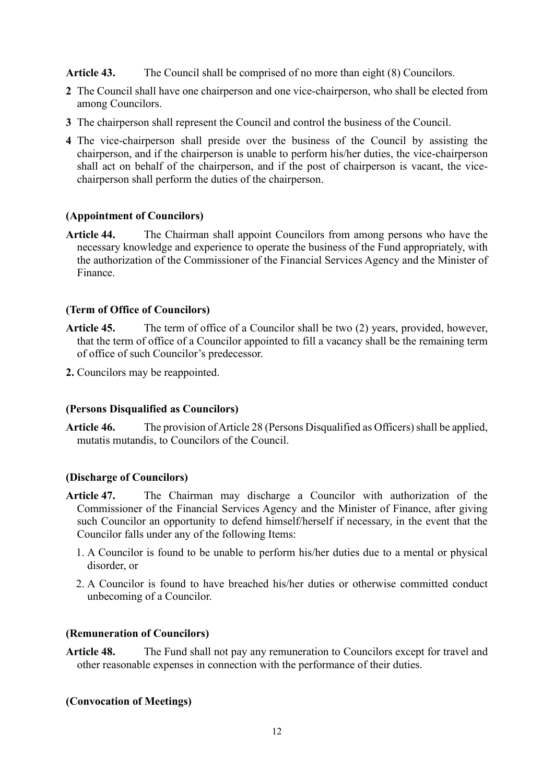**Article 43.** The Council shall be comprised of no more than eight (8) Councilors.

- **2** The Council shall have one chairperson and one vice-chairperson, who shall be elected from among Councilors.
- **3** The chairperson shall represent the Council and control the business of the Council.
- **4** The vice-chairperson shall preside over the business of the Council by assisting the chairperson, and if the chairperson is unable to perform his/her duties, the vice-chairperson shall act on behalf of the chairperson, and if the post of chairperson is vacant, the vicechairperson shall perform the duties of the chairperson.

## **(Appointment of Councilors)**

**Article 44.** The Chairman shall appoint Councilors from among persons who have the necessary knowledge and experience to operate the business of the Fund appropriately, with the authorization of the Commissioner of the Financial Services Agency and the Minister of Finance.

# **(Term of Office of Councilors)**

- **Article 45.** The term of office of a Councilor shall be two (2) years, provided, however, that the term of office of a Councilor appointed to fill a vacancy shall be the remaining term of office of such Councilor's predecessor.
- **2.** Councilors may be reappointed.

## **(Persons Disqualified as Councilors)**

**Article 46.** The provision of Article 28 (Persons Disqualified as Officers) shall be applied, mutatis mutandis, to Councilors of the Council.

## **(Discharge of Councilors)**

- **Article 47.** The Chairman may discharge a Councilor with authorization of the Commissioner of the Financial Services Agency and the Minister of Finance, after giving such Councilor an opportunity to defend himself/herself if necessary, in the event that the Councilor falls under any of the following Items:
	- 1. A Councilor is found to be unable to perform his/her duties due to a mental or physical disorder, or
	- 2. A Councilor is found to have breached his/her duties or otherwise committed conduct unbecoming of a Councilor.

#### **(Remuneration of Councilors)**

**Article 48.** The Fund shall not pay any remuneration to Councilors except for travel and other reasonable expenses in connection with the performance of their duties.

## **(Convocation of Meetings)**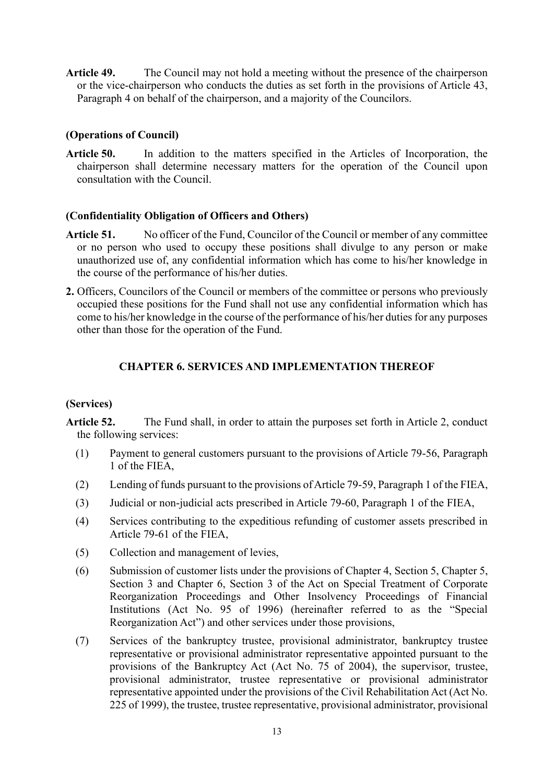**Article 49.** The Council may not hold a meeting without the presence of the chairperson or the vice-chairperson who conducts the duties as set forth in the provisions of Article 43, Paragraph 4 on behalf of the chairperson, and a majority of the Councilors.

# **(Operations of Council)**

**Article 50.** In addition to the matters specified in the Articles of Incorporation, the chairperson shall determine necessary matters for the operation of the Council upon consultation with the Council.

## **(Confidentiality Obligation of Officers and Others)**

- Article 51. No officer of the Fund, Councilor of the Council or member of any committee or no person who used to occupy these positions shall divulge to any person or make unauthorized use of, any confidential information which has come to his/her knowledge in the course of the performance of his/her duties.
- **2.** Officers, Councilors of the Council or members of the committee or persons who previously occupied these positions for the Fund shall not use any confidential information which has come to his/her knowledge in the course of the performance of his/her duties for any purposes other than those for the operation of the Fund.

## **CHAPTER 6. SERVICES AND IMPLEMENTATION THEREOF**

## **(Services)**

**Article 52.** The Fund shall, in order to attain the purposes set forth in Article 2, conduct the following services:

- (1) Payment to general customers pursuant to the provisions of Article 79-56, Paragraph 1 of the FIEA,
- (2) Lending of funds pursuant to the provisions of Article 79-59, Paragraph 1 of the FIEA,
- (3) Judicial or non-judicial acts prescribed in Article 79-60, Paragraph 1 of the FIEA,
- (4) Services contributing to the expeditious refunding of customer assets prescribed in Article 79-61 of the FIEA,
- (5) Collection and management of levies,
- (6) Submission of customer lists under the provisions of Chapter 4, Section 5, Chapter 5, Section 3 and Chapter 6, Section 3 of the Act on Special Treatment of Corporate Reorganization Proceedings and Other Insolvency Proceedings of Financial Institutions (Act No. 95 of 1996) (hereinafter referred to as the "Special Reorganization Act") and other services under those provisions,
- (7) Services of the bankruptcy trustee, provisional administrator, bankruptcy trustee representative or provisional administrator representative appointed pursuant to the provisions of the Bankruptcy Act (Act No. 75 of 2004), the supervisor, trustee, provisional administrator, trustee representative or provisional administrator representative appointed under the provisions of the Civil Rehabilitation Act (Act No. 225 of 1999), the trustee, trustee representative, provisional administrator, provisional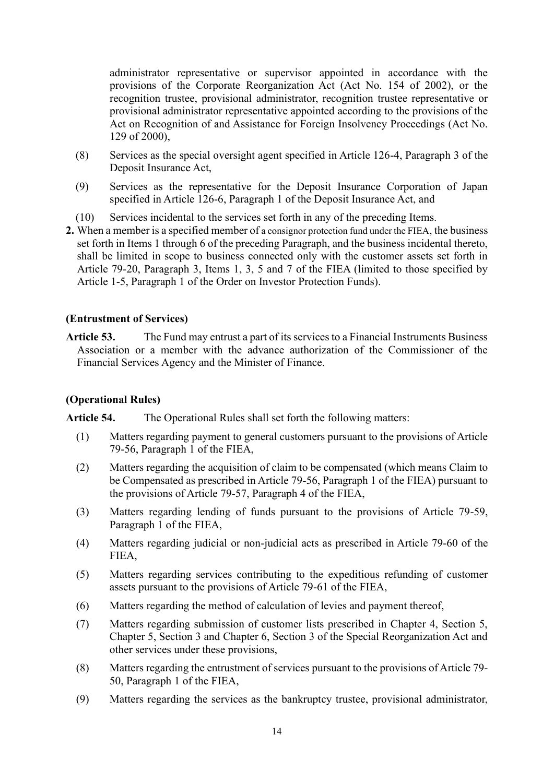administrator representative or supervisor appointed in accordance with the provisions of the Corporate Reorganization Act (Act No. 154 of 2002), or the recognition trustee, provisional administrator, recognition trustee representative or provisional administrator representative appointed according to the provisions of the Act on Recognition of and Assistance for Foreign Insolvency Proceedings (Act No. 129 of 2000),

- (8) Services as the special oversight agent specified in Article 126-4, Paragraph 3 of the Deposit Insurance Act,
- (9) Services as the representative for the Deposit Insurance Corporation of Japan specified in Article 126-6, Paragraph 1 of the Deposit Insurance Act, and
- (10) Services incidental to the services set forth in any of the preceding Items.
- **2.** When a member is a specified member of a consignor protection fund under the FIEA, the business set forth in Items 1 through 6 of the preceding Paragraph, and the business incidental thereto, shall be limited in scope to business connected only with the customer assets set forth in Article 79-20, Paragraph 3, Items 1, 3, 5 and 7 of the FIEA (limited to those specified by Article 1-5, Paragraph 1 of the Order on Investor Protection Funds).

# **(Entrustment of Services)**

**Article 53.** The Fund may entrust a part of its services to a Financial Instruments Business Association or a member with the advance authorization of the Commissioner of the Financial Services Agency and the Minister of Finance.

# **(Operational Rules)**

**Article 54.** The Operational Rules shall set forth the following matters:

- (1) Matters regarding payment to general customers pursuant to the provisions of Article 79-56, Paragraph 1 of the FIEA,
- (2) Matters regarding the acquisition of claim to be compensated (which means Claim to be Compensated as prescribed in Article 79-56, Paragraph 1 of the FIEA) pursuant to the provisions of Article 79-57, Paragraph 4 of the FIEA,
- (3) Matters regarding lending of funds pursuant to the provisions of Article 79-59, Paragraph 1 of the FIEA,
- (4) Matters regarding judicial or non-judicial acts as prescribed in Article 79-60 of the FIEA,
- (5) Matters regarding services contributing to the expeditious refunding of customer assets pursuant to the provisions of Article 79-61 of the FIEA,
- (6) Matters regarding the method of calculation of levies and payment thereof,
- (7) Matters regarding submission of customer lists prescribed in Chapter 4, Section 5, Chapter 5, Section 3 and Chapter 6, Section 3 of the Special Reorganization Act and other services under these provisions,
- (8) Matters regarding the entrustment of services pursuant to the provisions of Article 79- 50, Paragraph 1 of the FIEA,
- (9) Matters regarding the services as the bankruptcy trustee, provisional administrator,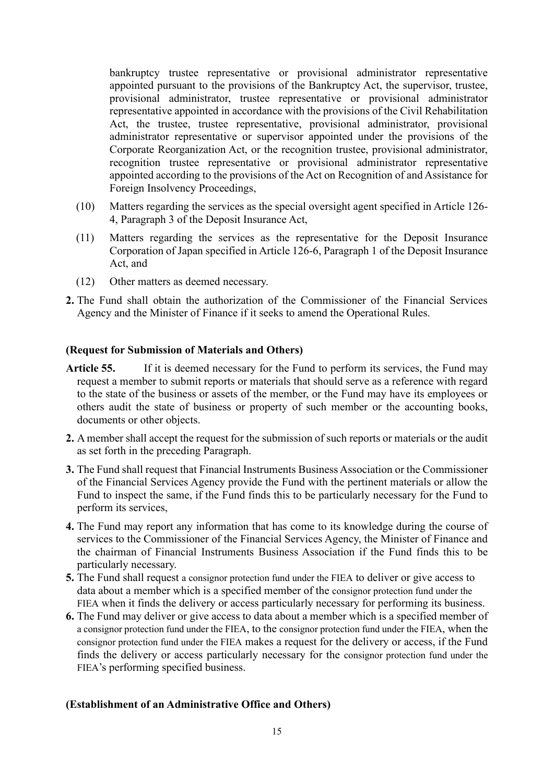bankruptcy trustee representative or provisional administrator representative appointed pursuant to the provisions of the Bankruptcy Act, the supervisor, trustee, provisional administrator, trustee representative or provisional administrator representative appointed in accordance with the provisions of the Civil Rehabilitation Act, the trustee, trustee representative, provisional administrator, provisional administrator representative or supervisor appointed under the provisions of the Corporate Reorganization Act, or the recognition trustee, provisional administrator, recognition trustee representative or provisional administrator representative appointed according to the provisions of the Act on Recognition of and Assistance for Foreign Insolvency Proceedings,

- (10) Matters regarding the services as the special oversight agent specified in Article 126- 4, Paragraph 3 of the Deposit Insurance Act,
- (11) Matters regarding the services as the representative for the Deposit Insurance Corporation of Japan specified in Article 126-6, Paragraph 1 of the Deposit Insurance Act, and
- (12) Other matters as deemed necessary.
- **2.** The Fund shall obtain the authorization of the Commissioner of the Financial Services Agency and the Minister of Finance if it seeks to amend the Operational Rules.

#### **(Request for Submission of Materials and Others)**

- Article 55. If it is deemed necessary for the Fund to perform its services, the Fund may request a member to submit reports or materials that should serve as a reference with regard to the state of the business or assets of the member, or the Fund may have its employees or others audit the state of business or property of such member or the accounting books, documents or other objects.
- **2.** A member shall accept the request for the submission of such reports or materials or the audit as set forth in the preceding Paragraph.
- **3.** The Fund shall request that Financial Instruments Business Association or the Commissioner of the Financial Services Agency provide the Fund with the pertinent materials or allow the Fund to inspect the same, if the Fund finds this to be particularly necessary for the Fund to perform its services,
- **4.** The Fund may report any information that has come to its knowledge during the course of services to the Commissioner of the Financial Services Agency, the Minister of Finance and the chairman of Financial Instruments Business Association if the Fund finds this to be particularly necessary.
- **5.** The Fund shall request a consignor protection fund under the FIEA to deliver or give access to data about a member which is a specified member of the consignor protection fund under the FIEA when it finds the delivery or access particularly necessary for performing its business.
- **6.** The Fund may deliver or give access to data about a member which is a specified member of a consignor protection fund under the FIEA, to the consignor protection fund under the FIEA, when the consignor protection fund under the FIEA makes a request for the delivery or access, if the Fund finds the delivery or access particularly necessary for the consignor protection fund under the FIEA's performing specified business.

#### **(Establishment of an Administrative Office and Others)**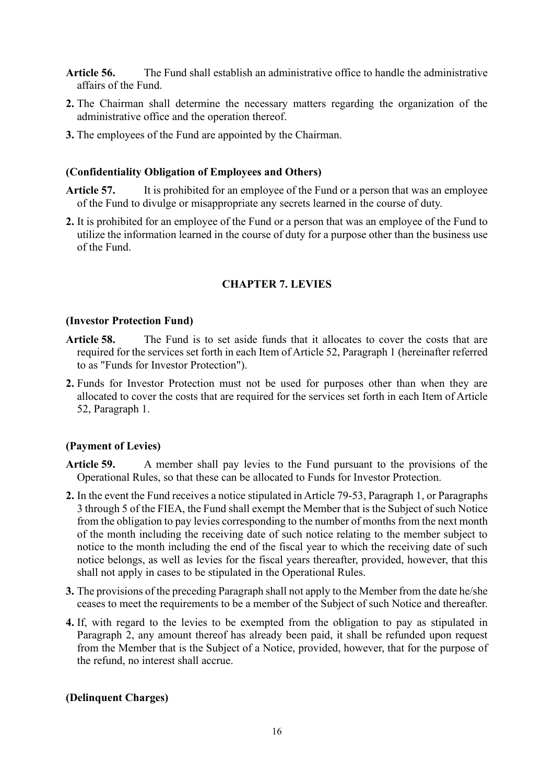- **Article 56.** The Fund shall establish an administrative office to handle the administrative affairs of the Fund.
- **2.** The Chairman shall determine the necessary matters regarding the organization of the administrative office and the operation thereof.
- **3.** The employees of the Fund are appointed by the Chairman.

#### **(Confidentiality Obligation of Employees and Others)**

- **Article 57.** It is prohibited for an employee of the Fund or a person that was an employee of the Fund to divulge or misappropriate any secrets learned in the course of duty.
- **2.** It is prohibited for an employee of the Fund or a person that was an employee of the Fund to utilize the information learned in the course of duty for a purpose other than the business use of the Fund.

#### **CHAPTER 7. LEVIES**

#### **(Investor Protection Fund)**

- **Article 58.** The Fund is to set aside funds that it allocates to cover the costs that are required for the services set forth in each Item of Article 52, Paragraph 1 (hereinafter referred to as "Funds for Investor Protection").
- **2.** Funds for Investor Protection must not be used for purposes other than when they are allocated to cover the costs that are required for the services set forth in each Item of Article 52, Paragraph 1.

#### **(Payment of Levies)**

- **Article 59.** A member shall pay levies to the Fund pursuant to the provisions of the Operational Rules, so that these can be allocated to Funds for Investor Protection.
- **2.** In the event the Fund receives a notice stipulated in Article 79-53, Paragraph 1, or Paragraphs 3 through 5 of the FIEA, the Fund shall exempt the Member that is the Subject of such Notice from the obligation to pay levies corresponding to the number of months from the next month of the month including the receiving date of such notice relating to the member subject to notice to the month including the end of the fiscal year to which the receiving date of such notice belongs, as well as levies for the fiscal years thereafter, provided, however, that this shall not apply in cases to be stipulated in the Operational Rules.
- **3.** The provisions of the preceding Paragraph shall not apply to the Member from the date he/she ceases to meet the requirements to be a member of the Subject of such Notice and thereafter.
- **4.** If, with regard to the levies to be exempted from the obligation to pay as stipulated in Paragraph 2, any amount thereof has already been paid, it shall be refunded upon request from the Member that is the Subject of a Notice, provided, however, that for the purpose of the refund, no interest shall accrue.

#### **(Delinquent Charges)**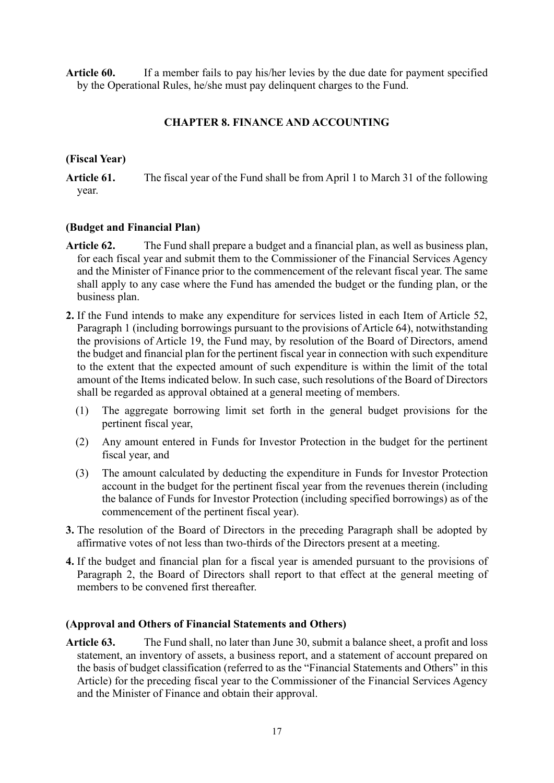**Article 60.** If a member fails to pay his/her levies by the due date for payment specified by the Operational Rules, he/she must pay delinquent charges to the Fund.

# **CHAPTER 8. FINANCE AND ACCOUNTING**

## **(Fiscal Year)**

**Article 61.** The fiscal year of the Fund shall be from April 1 to March 31 of the following year.

## **(Budget and Financial Plan)**

- **Article 62.** The Fund shall prepare a budget and a financial plan, as well as business plan, for each fiscal year and submit them to the Commissioner of the Financial Services Agency and the Minister of Finance prior to the commencement of the relevant fiscal year. The same shall apply to any case where the Fund has amended the budget or the funding plan, or the business plan.
- **2.** If the Fund intends to make any expenditure for services listed in each Item of Article 52, Paragraph 1 (including borrowings pursuant to the provisions of Article 64), notwithstanding the provisions of Article 19, the Fund may, by resolution of the Board of Directors, amend the budget and financial plan for the pertinent fiscal year in connection with such expenditure to the extent that the expected amount of such expenditure is within the limit of the total amount of the Items indicated below. In such case, such resolutions of the Board of Directors shall be regarded as approval obtained at a general meeting of members.
	- (1) The aggregate borrowing limit set forth in the general budget provisions for the pertinent fiscal year,
	- (2) Any amount entered in Funds for Investor Protection in the budget for the pertinent fiscal year, and
	- (3) The amount calculated by deducting the expenditure in Funds for Investor Protection account in the budget for the pertinent fiscal year from the revenues therein (including the balance of Funds for Investor Protection (including specified borrowings) as of the commencement of the pertinent fiscal year).
- **3.** The resolution of the Board of Directors in the preceding Paragraph shall be adopted by affirmative votes of not less than two-thirds of the Directors present at a meeting.
- **4.** If the budget and financial plan for a fiscal year is amended pursuant to the provisions of Paragraph 2, the Board of Directors shall report to that effect at the general meeting of members to be convened first thereafter.

# **(Approval and Others of Financial Statements and Others)**

**Article 63.** The Fund shall, no later than June 30, submit a balance sheet, a profit and loss statement, an inventory of assets, a business report, and a statement of account prepared on the basis of budget classification (referred to as the "Financial Statements and Others" in this Article) for the preceding fiscal year to the Commissioner of the Financial Services Agency and the Minister of Finance and obtain their approval.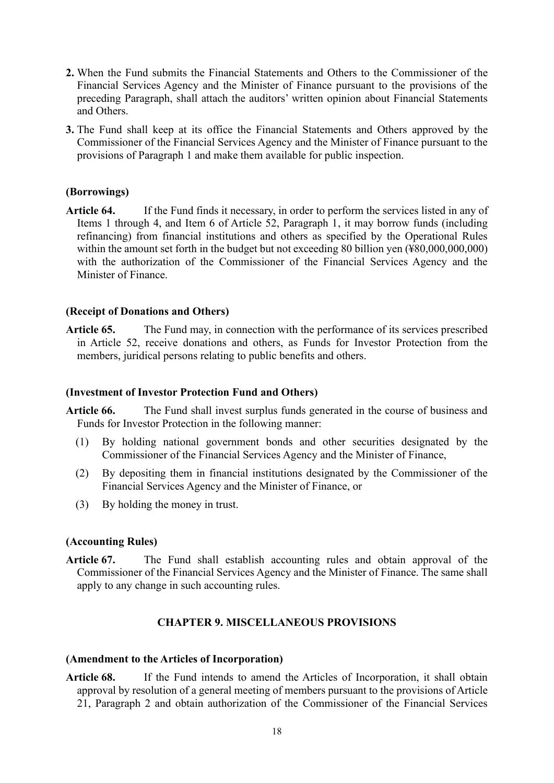- **2.** When the Fund submits the Financial Statements and Others to the Commissioner of the Financial Services Agency and the Minister of Finance pursuant to the provisions of the preceding Paragraph, shall attach the auditors' written opinion about Financial Statements and Others.
- **3.** The Fund shall keep at its office the Financial Statements and Others approved by the Commissioner of the Financial Services Agency and the Minister of Finance pursuant to the provisions of Paragraph 1 and make them available for public inspection.

## **(Borrowings)**

**Article 64.** If the Fund finds it necessary, in order to perform the services listed in any of Items 1 through 4, and Item 6 of Article 52, Paragraph 1, it may borrow funds (including refinancing) from financial institutions and others as specified by the Operational Rules within the amount set forth in the budget but not exceeding 80 billion yen (¥80,000,000,000) with the authorization of the Commissioner of the Financial Services Agency and the Minister of Finance.

## **(Receipt of Donations and Others)**

**Article 65.** The Fund may, in connection with the performance of its services prescribed in Article 52, receive donations and others, as Funds for Investor Protection from the members, juridical persons relating to public benefits and others.

#### **(Investment of Investor Protection Fund and Others)**

**Article 66.** The Fund shall invest surplus funds generated in the course of business and Funds for Investor Protection in the following manner:

- (1) By holding national government bonds and other securities designated by the Commissioner of the Financial Services Agency and the Minister of Finance,
- (2) By depositing them in financial institutions designated by the Commissioner of the Financial Services Agency and the Minister of Finance, or
- (3) By holding the money in trust.

## **(Accounting Rules)**

**Article 67.** The Fund shall establish accounting rules and obtain approval of the Commissioner of the Financial Services Agency and the Minister of Finance. The same shall apply to any change in such accounting rules.

## **CHAPTER 9. MISCELLANEOUS PROVISIONS**

#### **(Amendment to the Articles of Incorporation)**

**Article 68.** If the Fund intends to amend the Articles of Incorporation, it shall obtain approval by resolution of a general meeting of members pursuant to the provisions of Article 21, Paragraph 2 and obtain authorization of the Commissioner of the Financial Services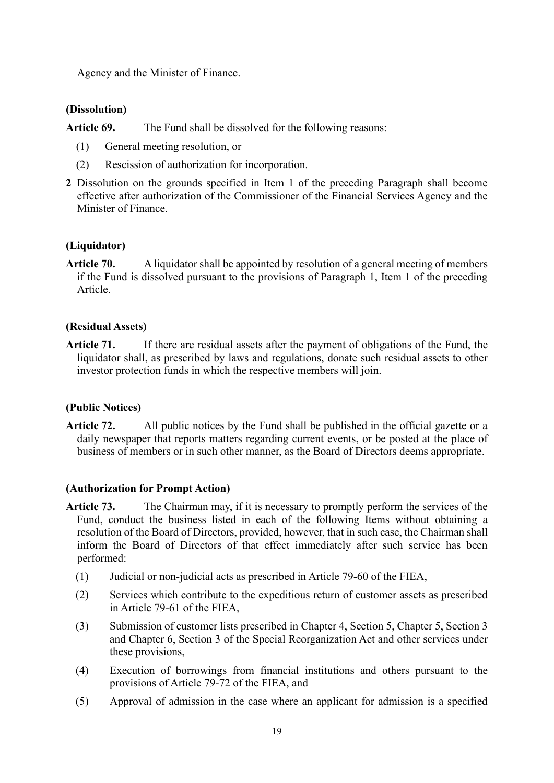Agency and the Minister of Finance.

# **(Dissolution)**

**Article 69.** The Fund shall be dissolved for the following reasons:

- (1) General meeting resolution, or
- (2) Rescission of authorization for incorporation.
- **2** Dissolution on the grounds specified in Item 1 of the preceding Paragraph shall become effective after authorization of the Commissioner of the Financial Services Agency and the Minister of Finance.

# **(Liquidator)**

**Article 70.** A liquidator shall be appointed by resolution of a general meeting of members if the Fund is dissolved pursuant to the provisions of Paragraph 1, Item 1 of the preceding Article.

# **(Residual Assets)**

**Article 71.** If there are residual assets after the payment of obligations of the Fund, the liquidator shall, as prescribed by laws and regulations, donate such residual assets to other investor protection funds in which the respective members will join.

# **(Public Notices)**

**Article 72.** All public notices by the Fund shall be published in the official gazette or a daily newspaper that reports matters regarding current events, or be posted at the place of business of members or in such other manner, as the Board of Directors deems appropriate.

## **(Authorization for Prompt Action)**

- **Article 73.** The Chairman may, if it is necessary to promptly perform the services of the Fund, conduct the business listed in each of the following Items without obtaining a resolution of the Board of Directors, provided, however, that in such case, the Chairman shall inform the Board of Directors of that effect immediately after such service has been performed:
	- (1) Judicial or non-judicial acts as prescribed in Article 79-60 of the FIEA,
	- (2) Services which contribute to the expeditious return of customer assets as prescribed in Article 79-61 of the FIEA,
	- (3) Submission of customer lists prescribed in Chapter 4, Section 5, Chapter 5, Section 3 and Chapter 6, Section 3 of the Special Reorganization Act and other services under these provisions,
	- (4) Execution of borrowings from financial institutions and others pursuant to the provisions of Article 79-72 of the FIEA, and
	- (5) Approval of admission in the case where an applicant for admission is a specified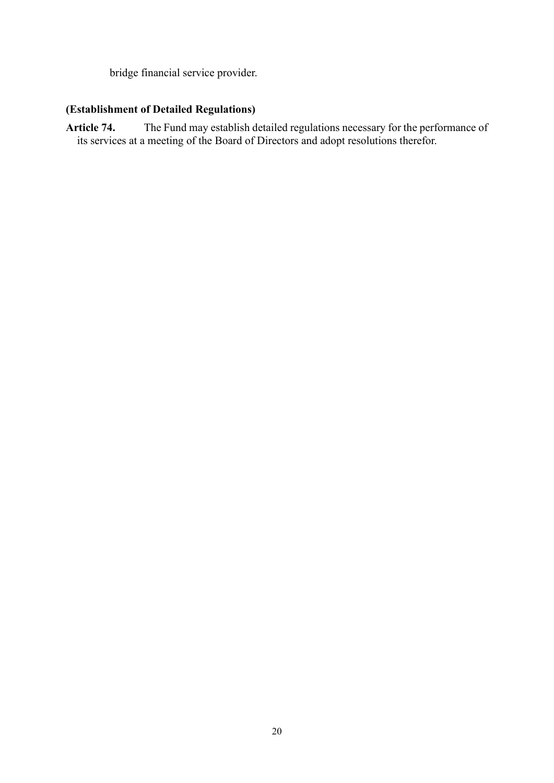bridge financial service provider.

# **(Establishment of Detailed Regulations)**

**Article 74.** The Fund may establish detailed regulations necessary for the performance of its services at a meeting of the Board of Directors and adopt resolutions therefor.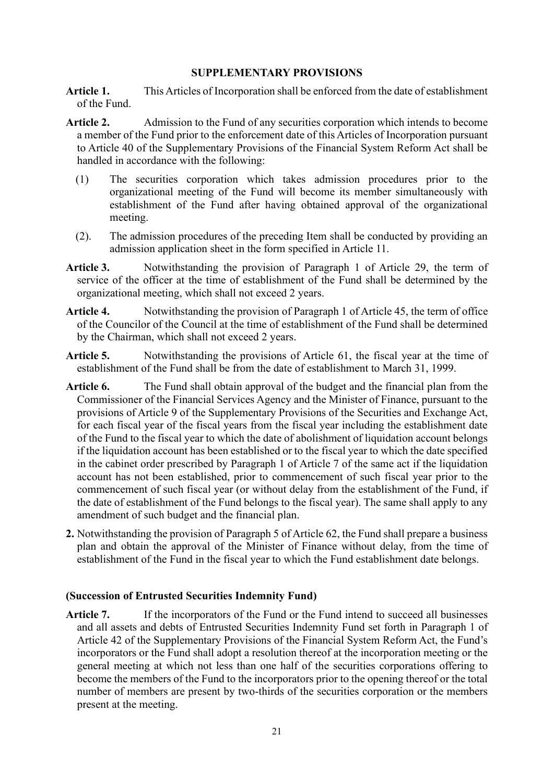## **SUPPLEMENTARY PROVISIONS**

**Article 1.** This Articles of Incorporation shall be enforced from the date of establishment of the Fund.

- **Article 2.** Admission to the Fund of any securities corporation which intends to become a member of the Fund prior to the enforcement date of this Articles of Incorporation pursuant to Article 40 of the Supplementary Provisions of the Financial System Reform Act shall be handled in accordance with the following:
	- (1) The securities corporation which takes admission procedures prior to the organizational meeting of the Fund will become its member simultaneously with establishment of the Fund after having obtained approval of the organizational meeting.
	- (2). The admission procedures of the preceding Item shall be conducted by providing an admission application sheet in the form specified in Article 11.
- **Article 3.** Notwithstanding the provision of Paragraph 1 of Article 29, the term of service of the officer at the time of establishment of the Fund shall be determined by the organizational meeting, which shall not exceed 2 years.
- **Article 4.** Notwithstanding the provision of Paragraph 1 of Article 45, the term of office of the Councilor of the Council at the time of establishment of the Fund shall be determined by the Chairman, which shall not exceed 2 years.
- Article 5. Notwithstanding the provisions of Article 61, the fiscal year at the time of establishment of the Fund shall be from the date of establishment to March 31, 1999.
- **Article 6.** The Fund shall obtain approval of the budget and the financial plan from the Commissioner of the Financial Services Agency and the Minister of Finance, pursuant to the provisions of Article 9 of the Supplementary Provisions of the Securities and Exchange Act, for each fiscal year of the fiscal years from the fiscal year including the establishment date of the Fund to the fiscal year to which the date of abolishment of liquidation account belongs if the liquidation account has been established or to the fiscal year to which the date specified in the cabinet order prescribed by Paragraph 1 of Article 7 of the same act if the liquidation account has not been established, prior to commencement of such fiscal year prior to the commencement of such fiscal year (or without delay from the establishment of the Fund, if the date of establishment of the Fund belongs to the fiscal year). The same shall apply to any amendment of such budget and the financial plan.
- **2.** Notwithstanding the provision of Paragraph 5 of Article 62, the Fund shall prepare a business plan and obtain the approval of the Minister of Finance without delay, from the time of establishment of the Fund in the fiscal year to which the Fund establishment date belongs.

## **(Succession of Entrusted Securities Indemnity Fund)**

Article 7. If the incorporators of the Fund or the Fund intend to succeed all businesses and all assets and debts of Entrusted Securities Indemnity Fund set forth in Paragraph 1 of Article 42 of the Supplementary Provisions of the Financial System Reform Act, the Fund's incorporators or the Fund shall adopt a resolution thereof at the incorporation meeting or the general meeting at which not less than one half of the securities corporations offering to become the members of the Fund to the incorporators prior to the opening thereof or the total number of members are present by two-thirds of the securities corporation or the members present at the meeting.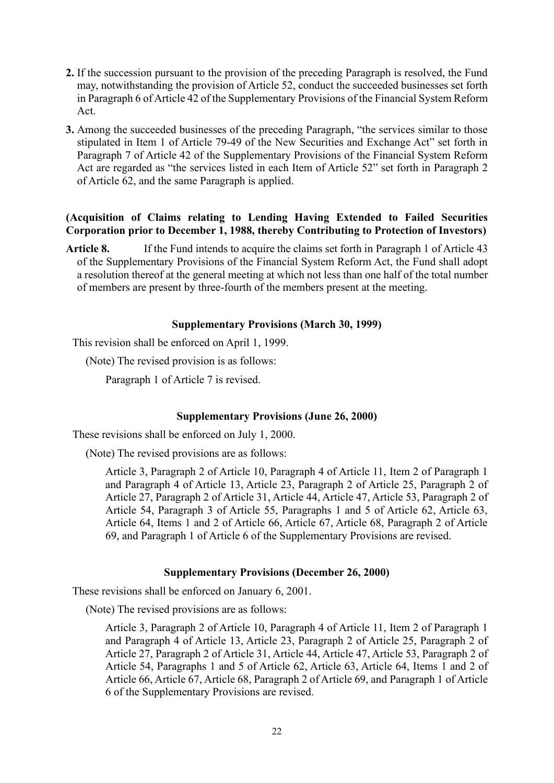- **2.** If the succession pursuant to the provision of the preceding Paragraph is resolved, the Fund may, notwithstanding the provision of Article 52, conduct the succeeded businesses set forth in Paragraph 6 of Article 42 of the Supplementary Provisions of the Financial System Reform Act.
- **3.** Among the succeeded businesses of the preceding Paragraph, "the services similar to those stipulated in Item 1 of Article 79-49 of the New Securities and Exchange Act" set forth in Paragraph 7 of Article 42 of the Supplementary Provisions of the Financial System Reform Act are regarded as "the services listed in each Item of Article 52" set forth in Paragraph 2 of Article 62, and the same Paragraph is applied.

# **(Acquisition of Claims relating to Lending Having Extended to Failed Securities Corporation prior to December 1, 1988, thereby Contributing to Protection of Investors)**

Article 8. If the Fund intends to acquire the claims set forth in Paragraph 1 of Article 43 of the Supplementary Provisions of the Financial System Reform Act, the Fund shall adopt a resolution thereof at the general meeting at which not less than one half of the total number of members are present by three-fourth of the members present at the meeting.

## **Supplementary Provisions (March 30, 1999)**

This revision shall be enforced on April 1, 1999.

(Note) The revised provision is as follows:

Paragraph 1 of Article 7 is revised.

# **Supplementary Provisions (June 26, 2000)**

These revisions shall be enforced on July 1, 2000.

(Note) The revised provisions are as follows:

Article 3, Paragraph 2 of Article 10, Paragraph 4 of Article 11, Item 2 of Paragraph 1 and Paragraph 4 of Article 13, Article 23, Paragraph 2 of Article 25, Paragraph 2 of Article 27, Paragraph 2 of Article 31, Article 44, Article 47, Article 53, Paragraph 2 of Article 54, Paragraph 3 of Article 55, Paragraphs 1 and 5 of Article 62, Article 63, Article 64, Items 1 and 2 of Article 66, Article 67, Article 68, Paragraph 2 of Article 69, and Paragraph 1 of Article 6 of the Supplementary Provisions are revised.

## **Supplementary Provisions (December 26, 2000)**

These revisions shall be enforced on January 6, 2001.

(Note) The revised provisions are as follows:

Article 3, Paragraph 2 of Article 10, Paragraph 4 of Article 11, Item 2 of Paragraph 1 and Paragraph 4 of Article 13, Article 23, Paragraph 2 of Article 25, Paragraph 2 of Article 27, Paragraph 2 of Article 31, Article 44, Article 47, Article 53, Paragraph 2 of Article 54, Paragraphs 1 and 5 of Article 62, Article 63, Article 64, Items 1 and 2 of Article 66, Article 67, Article 68, Paragraph 2 of Article 69, and Paragraph 1 of Article 6 of the Supplementary Provisions are revised.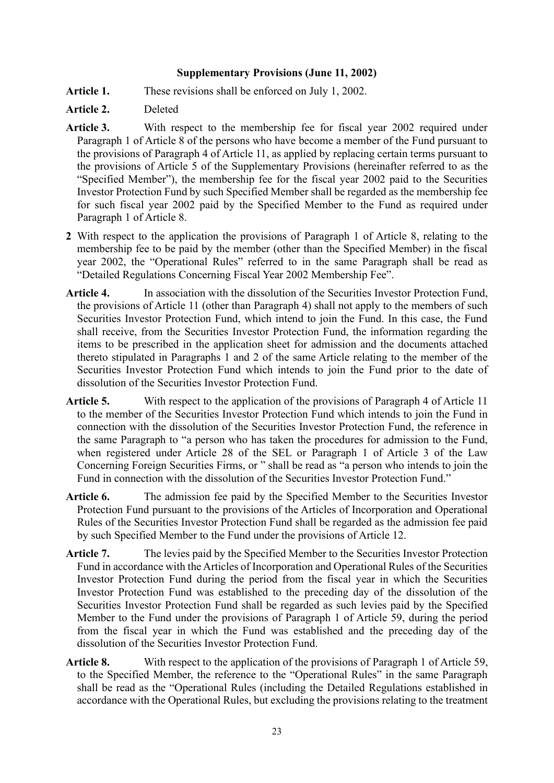## **Supplementary Provisions (June 11, 2002)**

- Article 1. These revisions shall be enforced on July 1, 2002.
- **Article 2.** Deleted
- **Article 3.** With respect to the membership fee for fiscal year 2002 required under Paragraph 1 of Article 8 of the persons who have become a member of the Fund pursuant to the provisions of Paragraph 4 of Article 11, as applied by replacing certain terms pursuant to the provisions of Article 5 of the Supplementary Provisions (hereinafter referred to as the "Specified Member"), the membership fee for the fiscal year 2002 paid to the Securities Investor Protection Fund by such Specified Member shall be regarded as the membership fee for such fiscal year 2002 paid by the Specified Member to the Fund as required under Paragraph 1 of Article 8.
- **2** With respect to the application the provisions of Paragraph 1 of Article 8, relating to the membership fee to be paid by the member (other than the Specified Member) in the fiscal year 2002, the "Operational Rules" referred to in the same Paragraph shall be read as "Detailed Regulations Concerning Fiscal Year 2002 Membership Fee".
- Article 4. In association with the dissolution of the Securities Investor Protection Fund, the provisions of Article 11 (other than Paragraph 4) shall not apply to the members of such Securities Investor Protection Fund, which intend to join the Fund. In this case, the Fund shall receive, from the Securities Investor Protection Fund, the information regarding the items to be prescribed in the application sheet for admission and the documents attached thereto stipulated in Paragraphs 1 and 2 of the same Article relating to the member of the Securities Investor Protection Fund which intends to join the Fund prior to the date of dissolution of the Securities Investor Protection Fund.
- **Article 5.** With respect to the application of the provisions of Paragraph 4 of Article 11 to the member of the Securities Investor Protection Fund which intends to join the Fund in connection with the dissolution of the Securities Investor Protection Fund, the reference in the same Paragraph to "a person who has taken the procedures for admission to the Fund, when registered under Article 28 of the SEL or Paragraph 1 of Article 3 of the Law Concerning Foreign Securities Firms, or " shall be read as "a person who intends to join the Fund in connection with the dissolution of the Securities Investor Protection Fund."
- Article 6. The admission fee paid by the Specified Member to the Securities Investor Protection Fund pursuant to the provisions of the Articles of Incorporation and Operational Rules of the Securities Investor Protection Fund shall be regarded as the admission fee paid by such Specified Member to the Fund under the provisions of Article 12.
- Article 7. The levies paid by the Specified Member to the Securities Investor Protection Fund in accordance with the Articles of Incorporation and Operational Rules of the Securities Investor Protection Fund during the period from the fiscal year in which the Securities Investor Protection Fund was established to the preceding day of the dissolution of the Securities Investor Protection Fund shall be regarded as such levies paid by the Specified Member to the Fund under the provisions of Paragraph 1 of Article 59, during the period from the fiscal year in which the Fund was established and the preceding day of the dissolution of the Securities Investor Protection Fund.
- **Article 8.** With respect to the application of the provisions of Paragraph 1 of Article 59, to the Specified Member, the reference to the "Operational Rules" in the same Paragraph shall be read as the "Operational Rules (including the Detailed Regulations established in accordance with the Operational Rules, but excluding the provisions relating to the treatment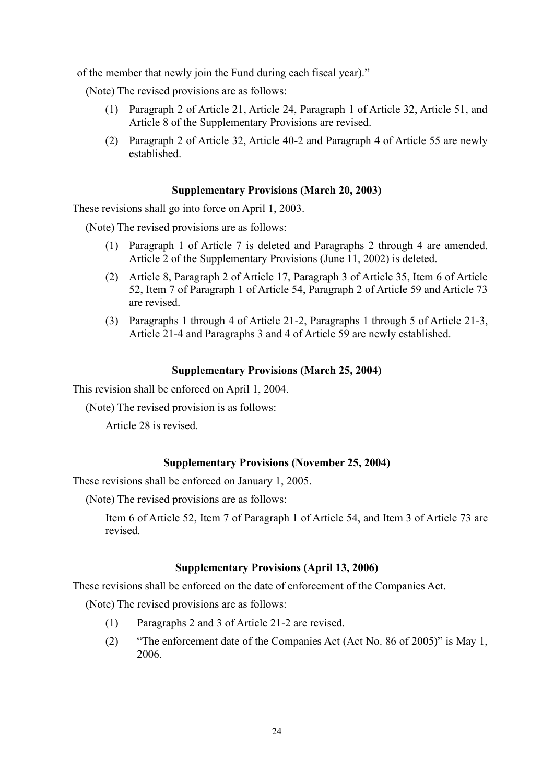of the member that newly join the Fund during each fiscal year)."

(Note) The revised provisions are as follows:

- (1) Paragraph 2 of Article 21, Article 24, Paragraph 1 of Article 32, Article 51, and Article 8 of the Supplementary Provisions are revised.
- (2) Paragraph 2 of Article 32, Article 40-2 and Paragraph 4 of Article 55 are newly established.

#### **Supplementary Provisions (March 20, 2003)**

These revisions shall go into force on April 1, 2003.

(Note) The revised provisions are as follows:

- (1) Paragraph 1 of Article 7 is deleted and Paragraphs 2 through 4 are amended. Article 2 of the Supplementary Provisions (June 11, 2002) is deleted.
- (2) Article 8, Paragraph 2 of Article 17, Paragraph 3 of Article 35, Item 6 of Article 52, Item 7 of Paragraph 1 of Article 54, Paragraph 2 of Article 59 and Article 73 are revised.
- (3) Paragraphs 1 through 4 of Article 21-2, Paragraphs 1 through 5 of Article 21-3, Article 21-4 and Paragraphs 3 and 4 of Article 59 are newly established.

#### **Supplementary Provisions (March 25, 2004)**

This revision shall be enforced on April 1, 2004.

(Note) The revised provision is as follows:

Article 28 is revised.

## **Supplementary Provisions (November 25, 2004)**

These revisions shall be enforced on January 1, 2005.

(Note) The revised provisions are as follows:

Item 6 of Article 52, Item 7 of Paragraph 1 of Article 54, and Item 3 of Article 73 are revised.

#### **Supplementary Provisions (April 13, 2006)**

These revisions shall be enforced on the date of enforcement of the Companies Act.

(Note) The revised provisions are as follows:

- (1) Paragraphs 2 and 3 of Article 21-2 are revised.
- (2) "The enforcement date of the Companies Act (Act No. 86 of 2005)" is May 1, 2006.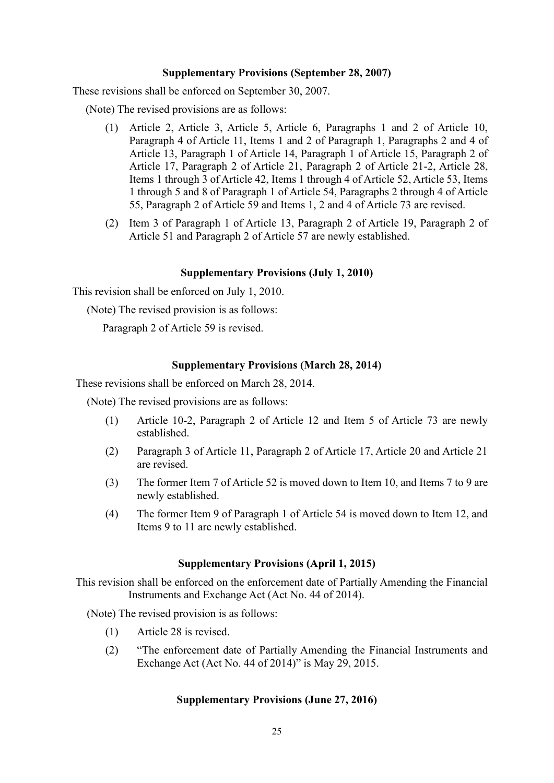#### **Supplementary Provisions (September 28, 2007)**

These revisions shall be enforced on September 30, 2007.

(Note) The revised provisions are as follows:

- (1) Article 2, Article 3, Article 5, Article 6, Paragraphs 1 and 2 of Article 10, Paragraph 4 of Article 11, Items 1 and 2 of Paragraph 1, Paragraphs 2 and 4 of Article 13, Paragraph 1 of Article 14, Paragraph 1 of Article 15, Paragraph 2 of Article 17, Paragraph 2 of Article 21, Paragraph 2 of Article 21-2, Article 28, Items 1 through 3 of Article 42, Items 1 through 4 of Article 52, Article 53, Items 1 through 5 and 8 of Paragraph 1 of Article 54, Paragraphs 2 through 4 of Article 55, Paragraph 2 of Article 59 and Items 1, 2 and 4 of Article 73 are revised.
- (2) Item 3 of Paragraph 1 of Article 13, Paragraph 2 of Article 19, Paragraph 2 of Article 51 and Paragraph 2 of Article 57 are newly established.

#### **Supplementary Provisions (July 1, 2010)**

This revision shall be enforced on July 1, 2010.

(Note) The revised provision is as follows:

Paragraph 2 of Article 59 is revised.

#### **Supplementary Provisions (March 28, 2014)**

These revisions shall be enforced on March 28, 2014.

(Note) The revised provisions are as follows:

- (1) Article 10-2, Paragraph 2 of Article 12 and Item 5 of Article 73 are newly established.
- (2) Paragraph 3 of Article 11, Paragraph 2 of Article 17, Article 20 and Article 21 are revised.
- (3) The former Item 7 of Article 52 is moved down to Item 10, and Items 7 to 9 are newly established.
- (4) The former Item 9 of Paragraph 1 of Article 54 is moved down to Item 12, and Items 9 to 11 are newly established.

#### **Supplementary Provisions (April 1, 2015)**

This revision shall be enforced on the enforcement date of Partially Amending the Financial Instruments and Exchange Act (Act No. 44 of 2014).

(Note) The revised provision is as follows:

- (1) Article 28 is revised.
- (2) "The enforcement date of Partially Amending the Financial Instruments and Exchange Act (Act No. 44 of 2014)" is May 29, 2015.

## **Supplementary Provisions (June 27, 2016)**